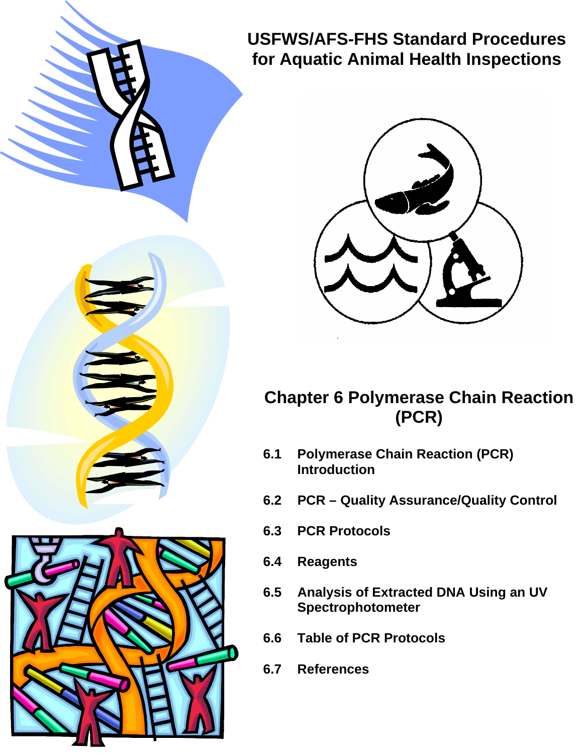



### **Chapter 6 Polymerase Chain Reaction (PCR)**

- **6.1 Polymerase Chain Reaction (PCR) Introduction**
- **6.2 PCR Quality Assurance/Quality Control**
- **6.3 PCR Protocols**
- **6.4 Reagents**
- **6.5 Analysis of Extracted DNA Using an UV Spectrophotometer**
- **6.6 Table of PCR Protocols**
- **6.7 References**

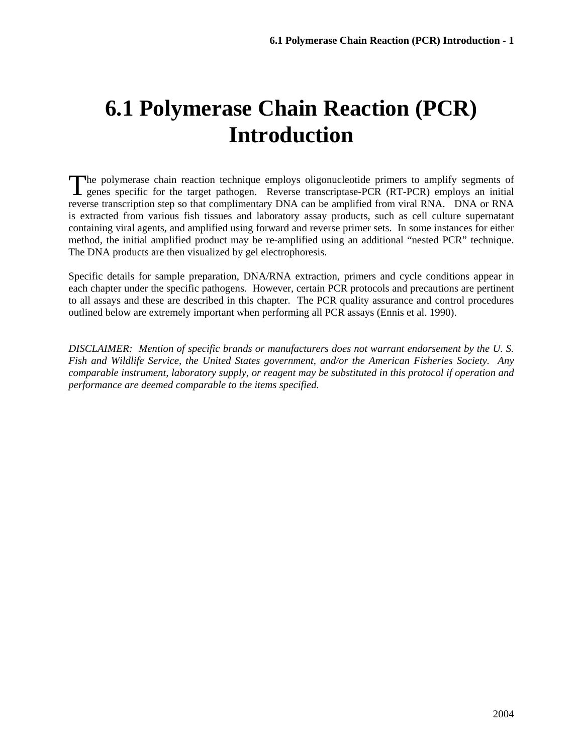## **6.1 Polymerase Chain Reaction (PCR) Introduction**

The polymerase chain reaction technique employs oligonucleotide primers to amplify segments of genes specific for the target pathogen. Reverse transcriptase-PCR (RT-PCR) employs an initial genes specific for the target pathogen. Reverse transcriptase-PCR (RT-PCR) employs an initial reverse transcription step so that complimentary DNA can be amplified from viral RNA. DNA or RNA is extracted from various fish tissues and laboratory assay products, such as cell culture supernatant containing viral agents, and amplified using forward and reverse primer sets. In some instances for either method, the initial amplified product may be re-amplified using an additional "nested PCR" technique. The DNA products are then visualized by gel electrophoresis.

Specific details for sample preparation, DNA/RNA extraction, primers and cycle conditions appear in each chapter under the specific pathogens. However, certain PCR protocols and precautions are pertinent to all assays and these are described in this chapter. The PCR quality assurance and control procedures outlined below are extremely important when performing all PCR assays (Ennis et al. 1990).

*DISCLAIMER: Mention of specific brands or manufacturers does not warrant endorsement by the U. S. Fish and Wildlife Service, the United States government, and/or the American Fisheries Society. Any comparable instrument, laboratory supply, or reagent may be substituted in this protocol if operation and performance are deemed comparable to the items specified.*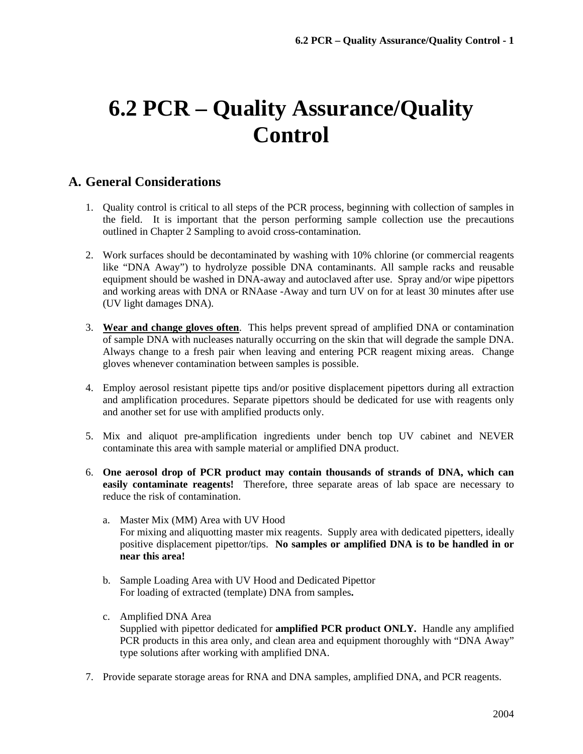# **6.2 PCR – Quality Assurance/Quality Control**

### **A. General Considerations**

- 1. Quality control is critical to all steps of the PCR process, beginning with collection of samples in the field. It is important that the person performing sample collection use the precautions outlined in Chapter 2 Sampling to avoid cross-contamination.
- 2. Work surfaces should be decontaminated by washing with 10% chlorine (or commercial reagents like "DNA Away") to hydrolyze possible DNA contaminants. All sample racks and reusable equipment should be washed in DNA-away and autoclaved after use. Spray and/or wipe pipettors and working areas with DNA or RNAase -Away and turn UV on for at least 30 minutes after use (UV light damages DNA).
- 3. **Wear and change gloves often**. This helps prevent spread of amplified DNA or contamination of sample DNA with nucleases naturally occurring on the skin that will degrade the sample DNA. Always change to a fresh pair when leaving and entering PCR reagent mixing areas. Change gloves whenever contamination between samples is possible.
- 4. Employ aerosol resistant pipette tips and/or positive displacement pipettors during all extraction and amplification procedures. Separate pipettors should be dedicated for use with reagents only and another set for use with amplified products only.
- 5. Mix and aliquot pre-amplification ingredients under bench top UV cabinet and NEVER contaminate this area with sample material or amplified DNA product.
- 6. **One aerosol drop of PCR product may contain thousands of strands of DNA, which can easily contaminate reagents!** Therefore, three separate areas of lab space are necessary to reduce the risk of contamination.
	- a. Master Mix (MM) Area with UV Hood For mixing and aliquotting master mix reagents. Supply area with dedicated pipetters, ideally positive displacement pipettor/tips. **No samples or amplified DNA is to be handled in or near this area!**
	- b. Sample Loading Area with UV Hood and Dedicated Pipettor For loading of extracted (template) DNA from samples**.**
	- c. Amplified DNA Area Supplied with pipettor dedicated for **amplified PCR product ONLY.** Handle any amplified PCR products in this area only, and clean area and equipment thoroughly with "DNA Away" type solutions after working with amplified DNA.
- 7. Provide separate storage areas for RNA and DNA samples, amplified DNA, and PCR reagents.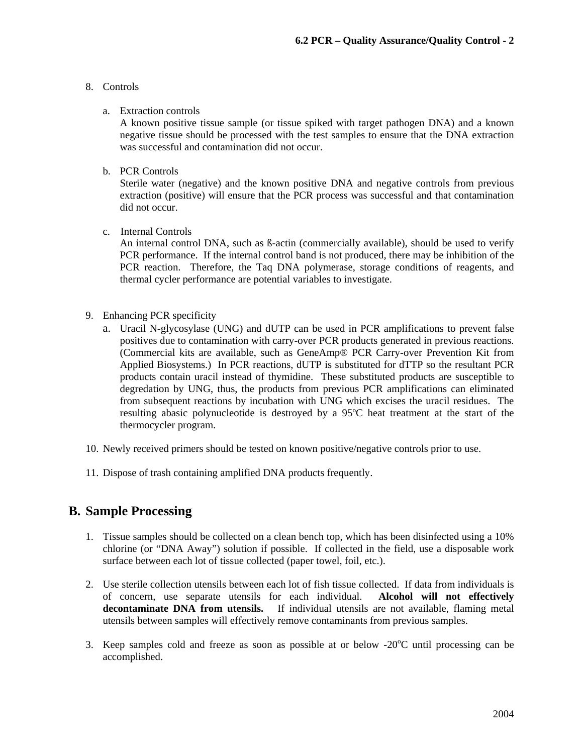#### 8. Controls

#### a. Extraction controls

A known positive tissue sample (or tissue spiked with target pathogen DNA) and a known negative tissue should be processed with the test samples to ensure that the DNA extraction was successful and contamination did not occur.

b. PCR Controls

Sterile water (negative) and the known positive DNA and negative controls from previous extraction (positive) will ensure that the PCR process was successful and that contamination did not occur.

c. Internal Controls

An internal control DNA, such as ß-actin (commercially available), should be used to verify PCR performance. If the internal control band is not produced, there may be inhibition of the PCR reaction. Therefore, the Taq DNA polymerase, storage conditions of reagents, and thermal cycler performance are potential variables to investigate.

- 9. Enhancing PCR specificity
	- a. Uracil N-glycosylase (UNG) and dUTP can be used in PCR amplifications to prevent false positives due to contamination with carry-over PCR products generated in previous reactions. (Commercial kits are available, such as GeneAmp® PCR Carry-over Prevention Kit from Applied Biosystems.) In PCR reactions, dUTP is substituted for dTTP so the resultant PCR products contain uracil instead of thymidine. These substituted products are susceptible to degredation by UNG, thus, the products from previous PCR amplifications can eliminated from subsequent reactions by incubation with UNG which excises the uracil residues. The resulting abasic polynucleotide is destroyed by a 95ºC heat treatment at the start of the thermocycler program.
- 10. Newly received primers should be tested on known positive/negative controls prior to use.
- 11. Dispose of trash containing amplified DNA products frequently.

#### **B. Sample Processing**

- 1. Tissue samples should be collected on a clean bench top, which has been disinfected using a 10% chlorine (or "DNA Away") solution if possible. If collected in the field, use a disposable work surface between each lot of tissue collected (paper towel, foil, etc.).
- 2. Use sterile collection utensils between each lot of fish tissue collected. If data from individuals is of concern, use separate utensils for each individual. **Alcohol will not effectively decontaminate DNA from utensils.** If individual utensils are not available, flaming metal utensils between samples will effectively remove contaminants from previous samples.
- 3. Keep samples cold and freeze as soon as possible at or below  $-20^{\circ}$ C until processing can be accomplished.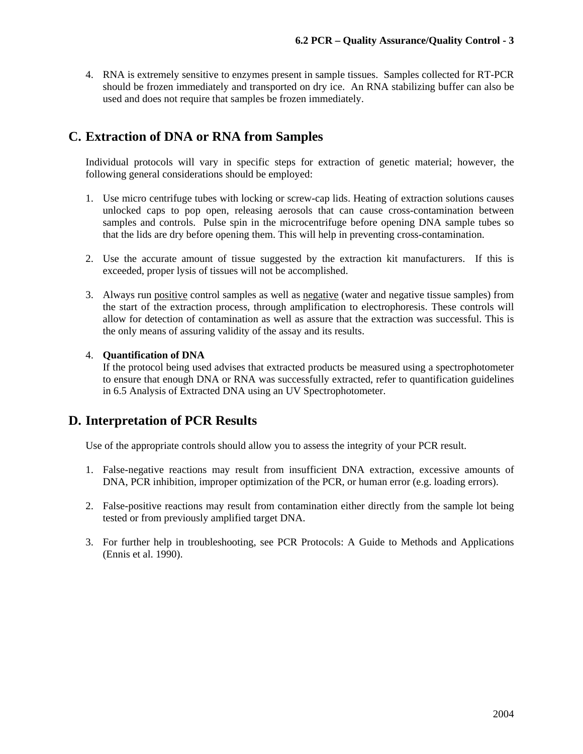4. RNA is extremely sensitive to enzymes present in sample tissues. Samples collected for RT-PCR should be frozen immediately and transported on dry ice. An RNA stabilizing buffer can also be used and does not require that samples be frozen immediately.

### **C. Extraction of DNA or RNA from Samples**

Individual protocols will vary in specific steps for extraction of genetic material; however, the following general considerations should be employed:

- 1. Use micro centrifuge tubes with locking or screw-cap lids. Heating of extraction solutions causes unlocked caps to pop open, releasing aerosols that can cause cross-contamination between samples and controls. Pulse spin in the microcentrifuge before opening DNA sample tubes so that the lids are dry before opening them. This will help in preventing cross-contamination.
- 2. Use the accurate amount of tissue suggested by the extraction kit manufacturers. If this is exceeded, proper lysis of tissues will not be accomplished.
- 3. Always run positive control samples as well as negative (water and negative tissue samples) from the start of the extraction process, through amplification to electrophoresis. These controls will allow for detection of contamination as well as assure that the extraction was successful. This is the only means of assuring validity of the assay and its results.

#### 4. **Quantification of DNA**

If the protocol being used advises that extracted products be measured using a spectrophotometer to ensure that enough DNA or RNA was successfully extracted, refer to quantification guidelines in 6.5 Analysis of Extracted DNA using an UV Spectrophotometer.

### **D. Interpretation of PCR Results**

Use of the appropriate controls should allow you to assess the integrity of your PCR result.

- 1. False-negative reactions may result from insufficient DNA extraction, excessive amounts of DNA, PCR inhibition, improper optimization of the PCR, or human error (e.g. loading errors).
- 2. False-positive reactions may result from contamination either directly from the sample lot being tested or from previously amplified target DNA.
- 3. For further help in troubleshooting, see PCR Protocols: A Guide to Methods and Applications (Ennis et al. 1990).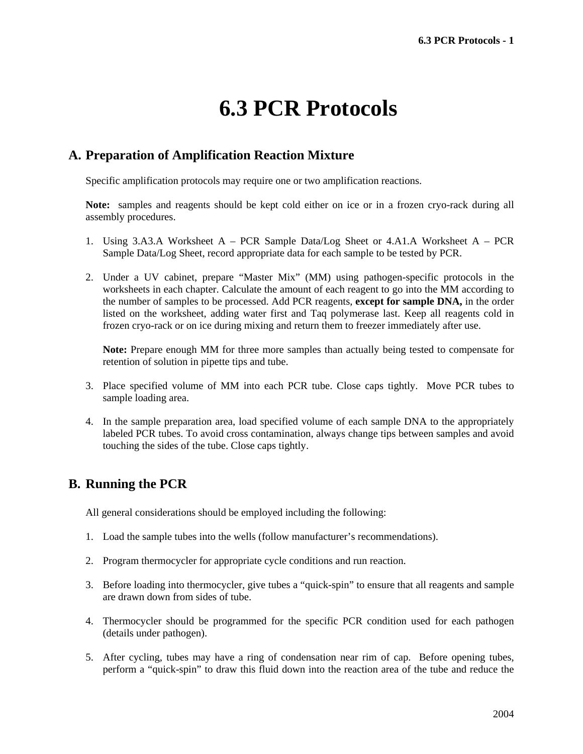## **6.3 PCR Protocols**

#### **A. Preparation of Amplification Reaction Mixture**

Specific amplification protocols may require one or two amplification reactions.

**Note:** samples and reagents should be kept cold either on ice or in a frozen cryo-rack during all assembly procedures.

- 1. Using 3.A3.A Worksheet A PCR Sample Data/Log Sheet or 4.A1.A Worksheet A PCR Sample Data/Log Sheet, record appropriate data for each sample to be tested by PCR.
- 2. Under a UV cabinet, prepare "Master Mix" (MM) using pathogen-specific protocols in the worksheets in each chapter. Calculate the amount of each reagent to go into the MM according to the number of samples to be processed. Add PCR reagents, **except for sample DNA,** in the order listed on the worksheet, adding water first and Taq polymerase last. Keep all reagents cold in frozen cryo-rack or on ice during mixing and return them to freezer immediately after use.

**Note:** Prepare enough MM for three more samples than actually being tested to compensate for retention of solution in pipette tips and tube.

- 3. Place specified volume of MM into each PCR tube. Close caps tightly. Move PCR tubes to sample loading area.
- 4. In the sample preparation area, load specified volume of each sample DNA to the appropriately labeled PCR tubes. To avoid cross contamination, always change tips between samples and avoid touching the sides of the tube. Close caps tightly.

#### **B. Running the PCR**

All general considerations should be employed including the following:

- 1. Load the sample tubes into the wells (follow manufacturer's recommendations).
- 2. Program thermocycler for appropriate cycle conditions and run reaction.
- 3. Before loading into thermocycler, give tubes a "quick-spin" to ensure that all reagents and sample are drawn down from sides of tube.
- 4. Thermocycler should be programmed for the specific PCR condition used for each pathogen (details under pathogen).
- 5. After cycling, tubes may have a ring of condensation near rim of cap. Before opening tubes, perform a "quick-spin" to draw this fluid down into the reaction area of the tube and reduce the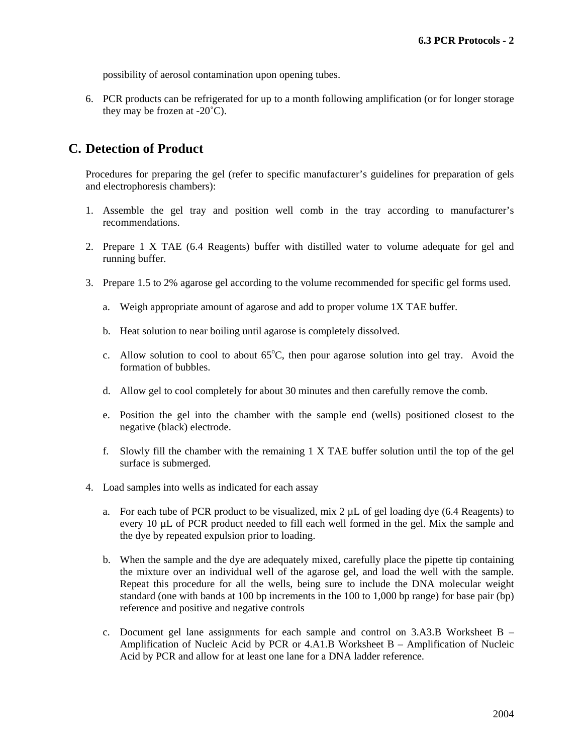possibility of aerosol contamination upon opening tubes.

6. PCR products can be refrigerated for up to a month following amplification (or for longer storage they may be frozen at  $-20^{\circ}$ C).

#### **C. Detection of Product**

Procedures for preparing the gel (refer to specific manufacturer's guidelines for preparation of gels and electrophoresis chambers):

- 1. Assemble the gel tray and position well comb in the tray according to manufacturer's recommendations.
- 2. Prepare 1 X TAE (6.4 Reagents) buffer with distilled water to volume adequate for gel and running buffer.
- 3. Prepare 1.5 to 2% agarose gel according to the volume recommended for specific gel forms used.
	- a. Weigh appropriate amount of agarose and add to proper volume 1X TAE buffer.
	- b. Heat solution to near boiling until agarose is completely dissolved.
	- c. Allow solution to cool to about  $65^{\circ}$ C, then pour agarose solution into gel tray. Avoid the formation of bubbles.
	- d. Allow gel to cool completely for about 30 minutes and then carefully remove the comb.
	- e. Position the gel into the chamber with the sample end (wells) positioned closest to the negative (black) electrode.
	- f. Slowly fill the chamber with the remaining 1 X TAE buffer solution until the top of the gel surface is submerged.
- 4. Load samples into wells as indicated for each assay
	- a. For each tube of PCR product to be visualized, mix  $2 \mu L$  of gel loading dye (6.4 Reagents) to every 10 µL of PCR product needed to fill each well formed in the gel. Mix the sample and the dye by repeated expulsion prior to loading.
	- b. When the sample and the dye are adequately mixed, carefully place the pipette tip containing the mixture over an individual well of the agarose gel, and load the well with the sample. Repeat this procedure for all the wells, being sure to include the DNA molecular weight standard (one with bands at 100 bp increments in the 100 to 1,000 bp range) for base pair (bp) reference and positive and negative controls
	- c. Document gel lane assignments for each sample and control on 3.A3.B Worksheet B Amplification of Nucleic Acid by PCR or 4.A1.B Worksheet B – Amplification of Nucleic Acid by PCR and allow for at least one lane for a DNA ladder reference.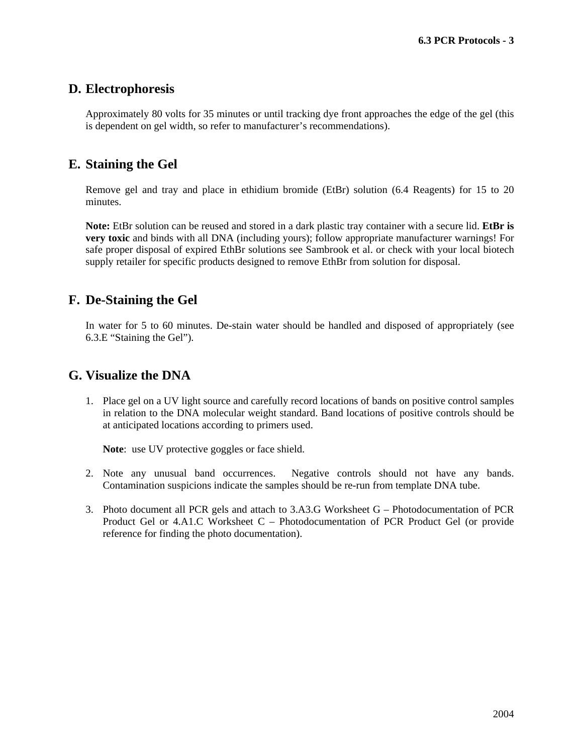#### **D. Electrophoresis**

Approximately 80 volts for 35 minutes or until tracking dye front approaches the edge of the gel (this is dependent on gel width, so refer to manufacturer's recommendations).

#### **E. Staining the Gel**

Remove gel and tray and place in ethidium bromide (EtBr) solution (6.4 Reagents) for 15 to 20 minutes.

**Note:** EtBr solution can be reused and stored in a dark plastic tray container with a secure lid. **EtBr is very toxic** and binds with all DNA (including yours); follow appropriate manufacturer warnings! For safe proper disposal of expired EthBr solutions see Sambrook et al. or check with your local biotech supply retailer for specific products designed to remove EthBr from solution for disposal.

#### **F. De-Staining the Gel**

In water for 5 to 60 minutes. De-stain water should be handled and disposed of appropriately (see 6.3.E "Staining the Gel").

#### **G. Visualize the DNA**

1. Place gel on a UV light source and carefully record locations of bands on positive control samples in relation to the DNA molecular weight standard. Band locations of positive controls should be at anticipated locations according to primers used.

**Note**: use UV protective goggles or face shield.

- 2. Note any unusual band occurrences. Negative controls should not have any bands. Contamination suspicions indicate the samples should be re-run from template DNA tube.
- 3. Photo document all PCR gels and attach to 3.A3.G Worksheet G Photodocumentation of PCR Product Gel or 4.A1.C Worksheet C – Photodocumentation of PCR Product Gel (or provide reference for finding the photo documentation).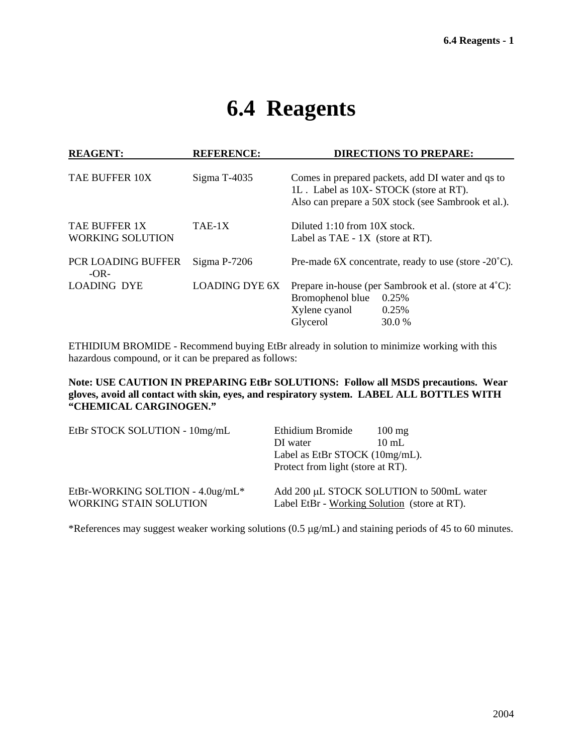### **6.4 Reagents**

| <b>REAGENT:</b><br><b>REFERENCE:</b>     |                       | <b>DIRECTIONS TO PREPARE:</b>                                                                                                                     |  |  |  |  |
|------------------------------------------|-----------------------|---------------------------------------------------------------------------------------------------------------------------------------------------|--|--|--|--|
| <b>TAE BUFFER 10X</b>                    | Sigma T-4035          | Comes in prepared packets, add DI water and qs to<br>1L. Label as 10X-STOCK (store at RT).<br>Also can prepare a 50X stock (see Sambrook et al.). |  |  |  |  |
| TAE BUFFER 1X<br><b>WORKING SOLUTION</b> | TAE-1X                | Diluted $1:10$ from $10X$ stock.<br>Label as TAE - 1X (store at RT).                                                                              |  |  |  |  |
| <b>PCR LOADING BUFFER</b><br>$-OR-$      | $Sigma P-7206$        | Pre-made 6X concentrate, ready to use (store $-20^{\circ}$ C).                                                                                    |  |  |  |  |
| <b>LOADING DYE</b>                       | <b>LOADING DYE 6X</b> | Prepare in-house (per Sambrook et al. (store at 4 <sup>°</sup> C):<br>Bromophenol blue<br>0.25%<br>Xylene cyanol<br>0.25%<br>Glycerol<br>30.0 %   |  |  |  |  |

ETHIDIUM BROMIDE - Recommend buying EtBr already in solution to minimize working with this hazardous compound, or it can be prepared as follows:

**Note: USE CAUTION IN PREPARING EtBr SOLUTIONS: Follow all MSDS precautions. Wear gloves, avoid all contact with skin, eyes, and respiratory system. LABEL ALL BOTTLES WITH "CHEMICAL CARGINOGEN."** 

| EtBr STOCK SOLUTION - 10mg/mL    | Ethidium Bromide                             | $100 \text{ mg}$                         |  |  |
|----------------------------------|----------------------------------------------|------------------------------------------|--|--|
|                                  | DI water                                     | $10 \text{ mL}$                          |  |  |
|                                  | Label as EtBr STOCK $(10mg/mL)$ .            |                                          |  |  |
|                                  | Protect from light (store at RT).            |                                          |  |  |
| EtBr-WORKING SOLTION - 4.0ug/mL* |                                              | Add 200 µL STOCK SOLUTION to 500mL water |  |  |
| <b>WORKING STAIN SOLUTION</b>    | Label EtBr - Working Solution (store at RT). |                                          |  |  |

\*References may suggest weaker working solutions (0.5 µg/mL) and staining periods of 45 to 60 minutes.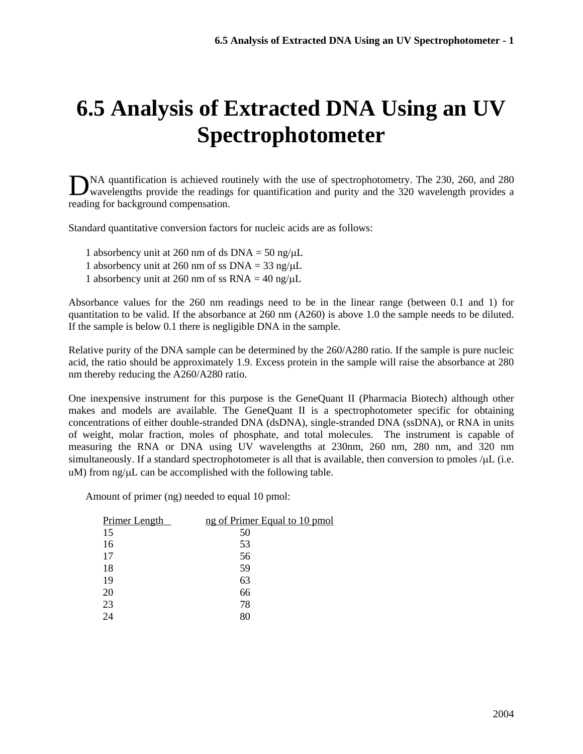## **6.5 Analysis of Extracted DNA Using an UV Spectrophotometer**

NA quantification is achieved routinely with the use of spectrophotometry. The 230, 260, and 280 DNA quantification is achieved routinely with the use of spectrophotometry. The 230, 260, and 280 wavelengths provide the readings for quantification and purity and the 320 wavelength provides a reading for background compensation.

Standard quantitative conversion factors for nucleic acids are as follows:

- 1 absorbency unit at 260 nm of ds  $DNA = 50$  ng/ $\mu L$
- 1 absorbency unit at 260 nm of ss  $DNA = 33$  ng/ $\mu L$
- 1 absorbency unit at 260 nm of ss  $RNA = 40$  ng/ $\mu$ L

Absorbance values for the 260 nm readings need to be in the linear range (between 0.1 and 1) for quantitation to be valid. If the absorbance at 260 nm (A260) is above 1.0 the sample needs to be diluted. If the sample is below 0.1 there is negligible DNA in the sample.

Relative purity of the DNA sample can be determined by the 260/A280 ratio. If the sample is pure nucleic acid, the ratio should be approximately 1.9. Excess protein in the sample will raise the absorbance at 280 nm thereby reducing the A260/A280 ratio.

One inexpensive instrument for this purpose is the GeneQuant II (Pharmacia Biotech) although other makes and models are available. The GeneQuant II is a spectrophotometer specific for obtaining concentrations of either double-stranded DNA (dsDNA), single-stranded DNA (ssDNA), or RNA in units of weight, molar fraction, moles of phosphate, and total molecules. The instrument is capable of measuring the RNA or DNA using UV wavelengths at 230nm, 260 nm, 280 nm, and 320 nm simultaneously. If a standard spectrophotometer is all that is available, then conversion to pmoles /µL (i.e.  $u$ M) from ng/ $\mu$ L can be accomplished with the following table.

Amount of primer (ng) needed to equal 10 pmol:

| Primer Length | ng of Primer Equal to 10 pmol |
|---------------|-------------------------------|
| 15            | 50                            |
| 16            | 53                            |
| 17            | 56                            |
| 18            | 59                            |
| 19            | 63                            |
| 20            | 66                            |
| 23            | 78                            |
| 24            | 80                            |
|               |                               |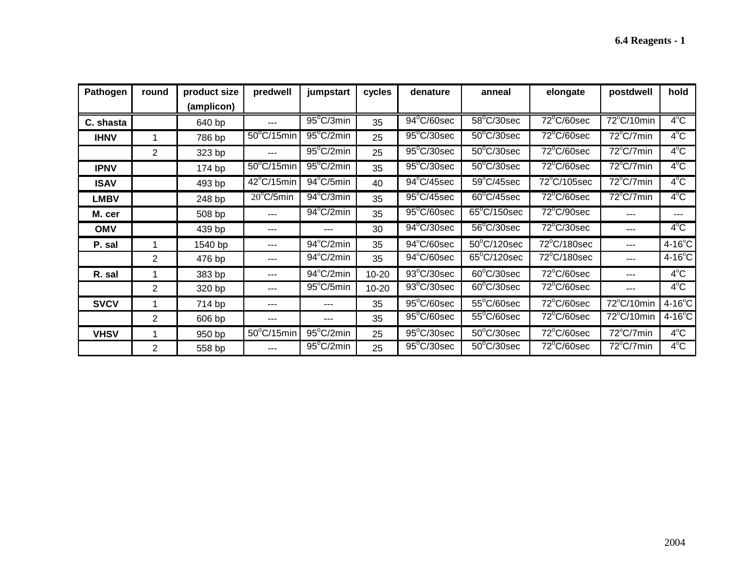| Pathogen    | round          | product size | predwell             | jumpstart           | cycles    | denature                        | anneal                | elongate                         | postdwell            | hold             |
|-------------|----------------|--------------|----------------------|---------------------|-----------|---------------------------------|-----------------------|----------------------------------|----------------------|------------------|
|             |                | (amplicon)   |                      |                     |           |                                 |                       |                                  |                      |                  |
| C. shasta   |                | 640 bp       | ---                  | $95^{\circ}$ C/3min | 35        | $94^{\circ}$ C/60sec            | $58^{\circ}$ C/30sec  | $72^{\circ}$ C/60sec             | $72^{\circ}$ C/10min | $4^{\circ}$ C    |
| <b>IHNV</b> |                | 786 bp       | $50^{\circ}$ C/15min | $95^{\circ}$ C/2min | 25        | $95^{\circ}$ C/30sec            | $50^{\circ}$ C/30sec  | $72^{\circ}$ C/60sec             | $72^{\circ}$ C/7min  | $4^{\circ}$ C    |
|             | $\overline{2}$ | 323 bp       | $---$                | $95^{\circ}$ C/2min | 25        | $95^{\circ}$ C/30sec            | $50^{\circ}$ C/30sec  | $72^{\circ}$ C/60sec             | $72^{\circ}$ C/7min  | $4^{\circ}$ C    |
| <b>IPNV</b> |                | 174 bp       | $50^{\circ}$ C/15min | 95°C/2min           | 35        | $95^{\circ}$ C/30sec            | $50^{\circ}$ C/30sec  | 72°C/60sec                       | $72^{\circ}$ C/7min  | $4^{\circ}$ C    |
| <b>ISAV</b> |                | 493 bp       | $42^{\circ}$ C/15min | $94^{\circ}$ C/5min | 40        | $94^{\circ}$ C/45sec            | $59^{\circ}$ C/45sec  | 72°C/105sec                      | $72^{\circ}$ C/7min  | $4^{\circ}$ C    |
| <b>LMBV</b> |                | 248 bp       | $20^{\circ}$ C/5min  | $94^{\circ}$ C/3min | 35        | $95^{\circ}$ C/45sec            | $60^{\circ}$ C/45sec  | $72^{\circ}$ C/60sec             | $72^{\circ}$ C/7min  | $4^{\circ}$ C    |
| M. cer      |                | 508 bp       | $---$                | $94^{\circ}$ C/2min | 35        | $95^{\circ}$ C/60sec            | $65^{\circ}$ C/150sec | $72^{\circ}$ C/90sec             | ---                  | ---              |
| <b>OMV</b>  |                | 439 bp       | ---                  | ---                 | 30        | $94^{\circ}$ C/30sec            | $56^{\circ}$ C/30sec  | 72°C/30sec                       |                      | $4^{\circ}$ C    |
| P. sal      |                | 1540 bp      | ---                  | 94°C/2min           | 35        | 94°C/60sec                      | $50^{\circ}$ C/120sec | $\overline{72}^{\circ}$ C/180sec | ---                  | $4-16^{\circ}$ C |
|             | $\overline{2}$ | 476 bp       | ---                  | $94^{\circ}$ C/2min | 35        | $\overline{94}^{\circ}$ C/60sec | $65^{\circ}$ C/120sec | $\overline{72^{\circ}C}$ /180sec | ---                  | $4-16^{\circ}$ C |
| R. sal      |                | 383 bp       | $---$                | $94^{\circ}$ C/2min | $10 - 20$ | 93°C/30sec                      | $60^{\circ}$ C/30sec  | 72°C/60sec                       | ---                  | $4^{\circ}$ C    |
|             | $\overline{2}$ | 320 bp       | ---                  | $95^{\circ}$ C/5min | $10 - 20$ | $93^{\circ}$ C/30sec            | $60^{\circ}$ C/30sec  | $72^{\circ}$ C/60sec             | ---                  | $4^{\circ}$ C    |
| <b>SVCV</b> | 1              | 714 bp       | ---                  | ---                 | 35        | 95°C/60sec                      | $55^{\circ}$ C/60sec  | 72°C/60sec                       | 72°C/10min           | $4-16^{\circ}$ C |
|             | 2              | 606 bp       | ---                  | ---                 | 35        | $95^{\circ}$ C/60sec            | $55^{\circ}$ C/60sec  | $72^{\circ}$ C/60sec             | 72°C/10min           | $4-16^{\circ}$ C |
| <b>VHSV</b> | 1              | 950 bp       | $50^{\circ}$ C/15min | $95^{\circ}$ C/2min | 25        | $95^{\circ}$ C/30sec            | $50^{\circ}$ C/30sec  | 72°C/60sec                       | 72°C/7min            | $4^{\circ}$ C    |
|             | $\overline{2}$ | 558 bp       | ---                  | $95^{\circ}$ C/2min | 25        | $95^{\circ}$ C/30sec            | $50^{\circ}$ C/30sec  | 72°C/60sec                       | $72^{\circ}$ C/7min  | $4^{\circ}$ C    |